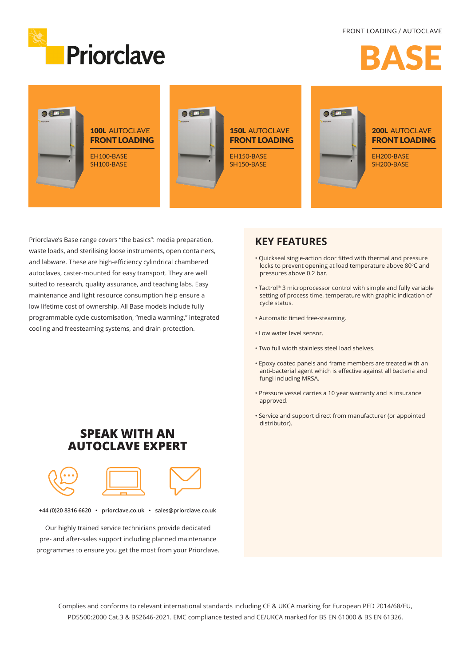

# RAC



Priorclave's Base range covers "the basics": media preparation, waste loads, and sterilising loose instruments, open containers, and labware. These are high-efficiency cylindrical chambered autoclaves, caster-mounted for easy transport. They are well suited to research, quality assurance, and teaching labs. Easy maintenance and light resource consumption help ensure a low lifetime cost of ownership. All Base models include fully programmable cycle customisation, "media warming," integrated cooling and freesteaming systems, and drain protection.

### **KEY FEATURES**

- Quickseal single-action door fitted with thermal and pressure locks to prevent opening at load temperature above 80°C and pressures above 0.2 bar.
- Tactrol® 3 microprocessor control with simple and fully variable setting of process time, temperature with graphic indication of cycle status.
- Automatic timed free-steaming.
- Low water level sensor.
- Two full width stainless steel load shelves.
- Epoxy coated panels and frame members are treated with an anti-bacterial agent which is effective against all bacteria and fungi including MRSA.
- Pressure vessel carries a 10 year warranty and is insurance approved.
- Service and support direct from manufacturer (or appointed distributor).

## **SPEAK WITH AN AUTOCLAVE EXPERT**



**+44 (0)20 8316 6620 • priorclave.co.uk • sales@priorclave.co.uk**

Our highly trained service technicians provide dedicated pre- and after-sales support including planned maintenance programmes to ensure you get the most from your Priorclave.

> Complies and conforms to relevant international standards including CE & UKCA marking for European PED 2014/68/EU, PD5500:2000 Cat.3 & BS2646-2021. EMC compliance tested and CE/UKCA marked for BS EN 61000 & BS EN 61326.